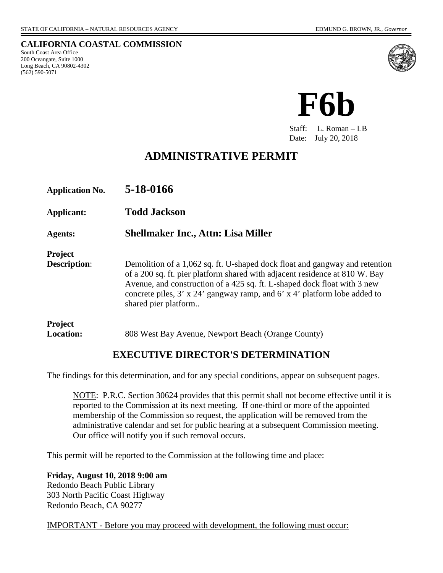**CALIFORNIA COASTAL COMMISSION**

South Coast Area Office 200 Oceangate, Suite 1000 Long Beach, CA 90802-4302 (562) 590-5071



**F6b**

Staff: L. Roman – LB Date: July 20, 2018

# **ADMINISTRATIVE PERMIT**

| <b>Application No.</b>                | 5-18-0166                                                                                                                                                                                                                                                                                                                                           |
|---------------------------------------|-----------------------------------------------------------------------------------------------------------------------------------------------------------------------------------------------------------------------------------------------------------------------------------------------------------------------------------------------------|
| <b>Applicant:</b>                     | <b>Todd Jackson</b>                                                                                                                                                                                                                                                                                                                                 |
| <b>Agents:</b>                        | <b>Shellmaker Inc., Attn: Lisa Miller</b>                                                                                                                                                                                                                                                                                                           |
| <b>Project</b><br><b>Description:</b> | Demolition of a 1,062 sq. ft. U-shaped dock float and gangway and retention<br>of a 200 sq. ft. pier platform shared with adjacent residence at 810 W. Bay<br>Avenue, and construction of a 425 sq. ft. L-shaped dock float with 3 new<br>concrete piles, $3'$ x $24'$ gangway ramp, and $6'$ x $4'$ platform lobe added to<br>shared pier platform |
| <b>Project</b><br>Location:           | 808 West Bay Avenue, Newport Beach (Orange County)                                                                                                                                                                                                                                                                                                  |

## **EXECUTIVE DIRECTOR'S DETERMINATION**

The findings for this determination, and for any special conditions, appear on subsequent pages.

NOTE: P.R.C. Section 30624 provides that this permit shall not become effective until it is reported to the Commission at its next meeting. If one-third or more of the appointed membership of the Commission so request, the application will be removed from the administrative calendar and set for public hearing at a subsequent Commission meeting. Our office will notify you if such removal occurs.

This permit will be reported to the Commission at the following time and place:

**Friday, August 10, 2018 9:00 am**  Redondo Beach Public Library 303 North Pacific Coast Highway Redondo Beach, CA 90277

IMPORTANT - Before you may proceed with development, the following must occur: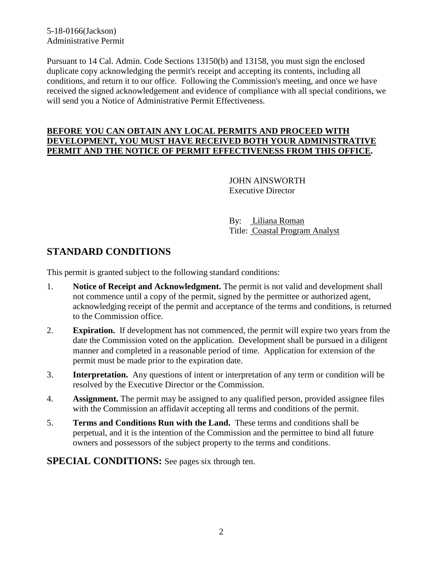5-18-0166(Jackson) Administrative Permit

Pursuant to 14 Cal. Admin. Code Sections 13150(b) and 13158, you must sign the enclosed duplicate copy acknowledging the permit's receipt and accepting its contents, including all conditions, and return it to our office. Following the Commission's meeting, and once we have received the signed acknowledgement and evidence of compliance with all special conditions, we will send you a Notice of Administrative Permit Effectiveness.

#### **BEFORE YOU CAN OBTAIN ANY LOCAL PERMITS AND PROCEED WITH DEVELOPMENT, YOU MUST HAVE RECEIVED BOTH YOUR ADMINISTRATIVE PERMIT AND THE NOTICE OF PERMIT EFFECTIVENESS FROM THIS OFFICE.**

 JOHN AINSWORTH Executive Director

 By: Liliana Roman Title: Coastal Program Analyst

## **STANDARD CONDITIONS**

This permit is granted subject to the following standard conditions:

- 1. **Notice of Receipt and Acknowledgment.** The permit is not valid and development shall not commence until a copy of the permit, signed by the permittee or authorized agent, acknowledging receipt of the permit and acceptance of the terms and conditions, is returned to the Commission office.
- 2. **Expiration.** If development has not commenced, the permit will expire two years from the date the Commission voted on the application. Development shall be pursued in a diligent manner and completed in a reasonable period of time. Application for extension of the permit must be made prior to the expiration date.
- 3. **Interpretation.** Any questions of intent or interpretation of any term or condition will be resolved by the Executive Director or the Commission.
- 4. **Assignment.** The permit may be assigned to any qualified person, provided assignee files with the Commission an affidavit accepting all terms and conditions of the permit.
- 5. **Terms and Conditions Run with the Land.** These terms and conditions shall be perpetual, and it is the intention of the Commission and the permittee to bind all future owners and possessors of the subject property to the terms and conditions.

**SPECIAL CONDITIONS:** See pages six through ten.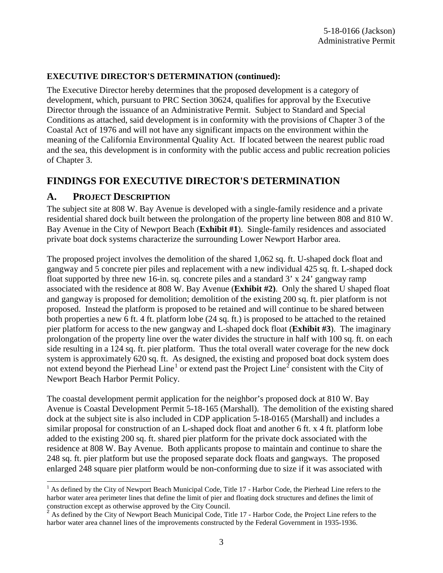### **EXECUTIVE DIRECTOR'S DETERMINATION (continued):**

The Executive Director hereby determines that the proposed development is a category of development, which, pursuant to PRC Section 30624, qualifies for approval by the Executive Director through the issuance of an Administrative Permit. Subject to Standard and Special Conditions as attached, said development is in conformity with the provisions of Chapter 3 of the Coastal Act of 1976 and will not have any significant impacts on the environment within the meaning of the California Environmental Quality Act. If located between the nearest public road and the sea, this development is in conformity with the public access and public recreation policies of Chapter 3.

## **FINDINGS FOR EXECUTIVE DIRECTOR'S DETERMINATION**

### **A. PROJECT DESCRIPTION**

The subject site at 808 W. Bay Avenue is developed with a single-family residence and a private residential shared dock built between the prolongation of the property line between 808 and 810 W. Bay Avenue in the City of Newport Beach (**Exhibit #1**). Single-family residences and associated private boat dock systems characterize the surrounding Lower Newport Harbor area.

The proposed project involves the demolition of the shared 1,062 sq. ft. U-shaped dock float and gangway and 5 concrete pier piles and replacement with a new individual 425 sq. ft. L-shaped dock float supported by three new 16-in. sq. concrete piles and a standard  $3' \times 24'$  gangway ramp associated with the residence at 808 W. Bay Avenue (**Exhibit #2)**. Only the shared U shaped float and gangway is proposed for demolition; demolition of the existing 200 sq. ft. pier platform is not proposed. Instead the platform is proposed to be retained and will continue to be shared between both properties a new 6 ft. 4 ft. platform lobe (24 sq. ft.) is proposed to be attached to the retained pier platform for access to the new gangway and L-shaped dock float (**Exhibit #3**). The imaginary prolongation of the property line over the water divides the structure in half with 100 sq. ft. on each side resulting in a 124 sq. ft. pier platform. Thus the total overall water coverage for the new dock system is approximately 620 sq. ft. As designed, the existing and proposed boat dock system does not extend beyond the Pierhead Line<sup>[1](#page-2-0)</sup> or extend past the Project Line<sup>[2](#page-2-1)</sup> consistent with the City of Newport Beach Harbor Permit Policy.

The coastal development permit application for the neighbor's proposed dock at 810 W. Bay Avenue is Coastal Development Permit 5-18-165 (Marshall). The demolition of the existing shared dock at the subject site is also included in CDP application 5-18-0165 (Marshall) and includes a similar proposal for construction of an L-shaped dock float and another 6 ft. x 4 ft. platform lobe added to the existing 200 sq. ft. shared pier platform for the private dock associated with the residence at 808 W. Bay Avenue. Both applicants propose to maintain and continue to share the 248 sq. ft. pier platform but use the proposed separate dock floats and gangways. The proposed enlarged 248 square pier platform would be non-conforming due to size if it was associated with

<span id="page-2-0"></span> $\overline{a}$  $<sup>1</sup>$  As defined by the City of Newport Beach Municipal Code, Title 17 - Harbor Code, the Pierhead Line refers to the</sup> harbor water area perimeter lines that define the limit of pier and floating dock structures and defines the limit of construction except as otherwise approved by the City Council.

<span id="page-2-1"></span><sup>&</sup>lt;sup>2</sup> As defined by the City of Newport Beach Municipal Code, Title 17 - Harbor Code, the Project Line refers to the harbor water area channel lines of the improvements constructed by the Federal Government in 1935-1936.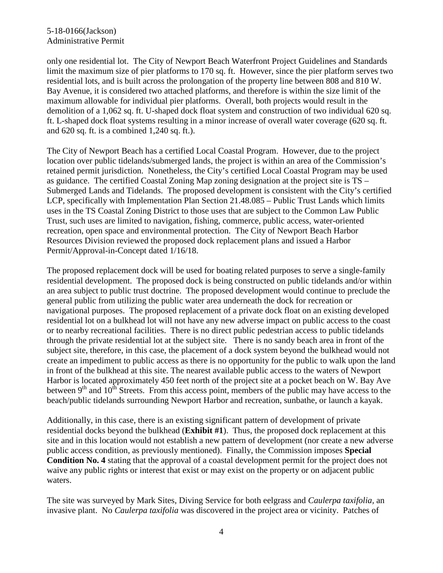#### 5-18-0166(Jackson) Administrative Permit

only one residential lot. The City of Newport Beach Waterfront Project Guidelines and Standards limit the maximum size of pier platforms to 170 sq. ft. However, since the pier platform serves two residential lots, and is built across the prolongation of the property line between 808 and 810 W. Bay Avenue, it is considered two attached platforms, and therefore is within the size limit of the maximum allowable for individual pier platforms. Overall, both projects would result in the demolition of a 1,062 sq. ft. U-shaped dock float system and construction of two individual 620 sq. ft. L-shaped dock float systems resulting in a minor increase of overall water coverage (620 sq. ft. and 620 sq. ft. is a combined 1,240 sq. ft.).

The City of Newport Beach has a certified Local Coastal Program. However, due to the project location over public tidelands/submerged lands, the project is within an area of the Commission's retained permit jurisdiction. Nonetheless, the City's certified Local Coastal Program may be used as guidance. The certified Coastal Zoning Map zoning designation at the project site is TS – Submerged Lands and Tidelands. The proposed development is consistent with the City's certified LCP, specifically with Implementation Plan Section 21.48.085 – Public Trust Lands which limits uses in the TS Coastal Zoning District to those uses that are subject to the Common Law Public Trust, such uses are limited to navigation, fishing, commerce, public access, water-oriented recreation, open space and environmental protection. The City of Newport Beach Harbor Resources Division reviewed the proposed dock replacement plans and issued a Harbor Permit/Approval-in-Concept dated 1/16/18.

The proposed replacement dock will be used for boating related purposes to serve a single-family residential development. The proposed dock is being constructed on public tidelands and/or within an area subject to public trust doctrine. The proposed development would continue to preclude the general public from utilizing the public water area underneath the dock for recreation or navigational purposes. The proposed replacement of a private dock float on an existing developed residential lot on a bulkhead lot will not have any new adverse impact on public access to the coast or to nearby recreational facilities. There is no direct public pedestrian access to public tidelands through the private residential lot at the subject site. There is no sandy beach area in front of the subject site, therefore, in this case, the placement of a dock system beyond the bulkhead would not create an impediment to public access as there is no opportunity for the public to walk upon the land in front of the bulkhead at this site. The nearest available public access to the waters of Newport Harbor is located approximately 450 feet north of the project site at a pocket beach on W. Bay Ave between  $9<sup>th</sup>$  and  $10<sup>th</sup>$  Streets. From this access point, members of the public may have access to the beach/public tidelands surrounding Newport Harbor and recreation, sunbathe, or launch a kayak.

Additionally, in this case, there is an existing significant pattern of development of private residential docks beyond the bulkhead (**Exhibit #1**). Thus, the proposed dock replacement at this site and in this location would not establish a new pattern of development (nor create a new adverse public access condition, as previously mentioned). Finally, the Commission imposes **Special Condition No. 4** stating that the approval of a coastal development permit for the project does not waive any public rights or interest that exist or may exist on the property or on adjacent public waters.

The site was surveyed by Mark Sites, Diving Service for both eelgrass and *Caulerpa taxifolia,* an invasive plant. No *Caulerpa taxifolia* was discovered in the project area or vicinity. Patches of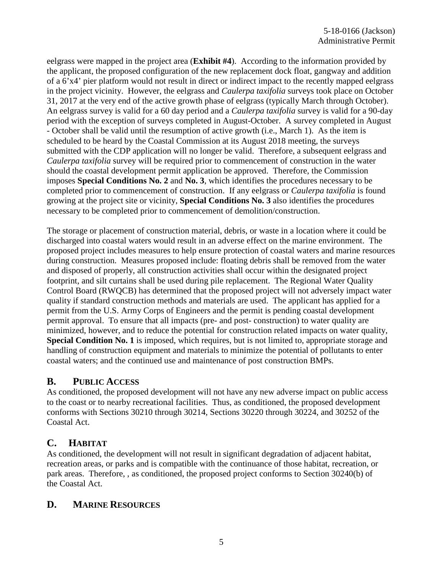eelgrass were mapped in the project area (**Exhibit #4**). According to the information provided by the applicant, the proposed configuration of the new replacement dock float, gangway and addition of a 6'x4' pier platform would not result in direct or indirect impact to the recently mapped eelgrass in the project vicinity. However, the eelgrass and *Caulerpa taxifolia* surveys took place on October 31, 2017 at the very end of the active growth phase of eelgrass (typically March through October). An eelgrass survey is valid for a 60 day period and a *Caulerpa taxifolia* survey is valid for a 90-day period with the exception of surveys completed in August-October. A survey completed in August - October shall be valid until the resumption of active growth (i.e., March 1). As the item is scheduled to be heard by the Coastal Commission at its August 2018 meeting, the surveys submitted with the CDP application will no longer be valid. Therefore, a subsequent eelgrass and *Caulerpa taxifolia* survey will be required prior to commencement of construction in the water should the coastal development permit application be approved. Therefore, the Commission imposes **Special Conditions No. 2** and **No. 3**, which identifies the procedures necessary to be completed prior to commencement of construction. If any eelgrass or *Caulerpa taxifolia* is found growing at the project site or vicinity, **Special Conditions No. 3** also identifies the procedures necessary to be completed prior to commencement of demolition/construction.

The storage or placement of construction material, debris, or waste in a location where it could be discharged into coastal waters would result in an adverse effect on the marine environment. The proposed project includes measures to help ensure protection of coastal waters and marine resources during construction. Measures proposed include: floating debris shall be removed from the water and disposed of properly, all construction activities shall occur within the designated project footprint, and silt curtains shall be used during pile replacement. The Regional Water Quality Control Board (RWQCB) has determined that the proposed project will not adversely impact water quality if standard construction methods and materials are used. The applicant has applied for a permit from the U.S. Army Corps of Engineers and the permit is pending coastal development permit approval. To ensure that all impacts (pre- and post- construction) to water quality are minimized, however, and to reduce the potential for construction related impacts on water quality, **Special Condition No. 1** is imposed, which requires, but is not limited to, appropriate storage and handling of construction equipment and materials to minimize the potential of pollutants to enter coastal waters; and the continued use and maintenance of post construction BMPs.

## **B. PUBLIC ACCESS**

As conditioned, the proposed development will not have any new adverse impact on public access to the coast or to nearby recreational facilities. Thus, as conditioned, the proposed development conforms with Sections 30210 through 30214, Sections 30220 through 30224, and 30252 of the Coastal Act.

## **C. HABITAT**

As conditioned, the development will not result in significant degradation of adjacent habitat, recreation areas, or parks and is compatible with the continuance of those habitat, recreation, or park areas. Therefore, , as conditioned, the proposed project conforms to Section 30240(b) of the Coastal Act.

## **D. MARINE RESOURCES**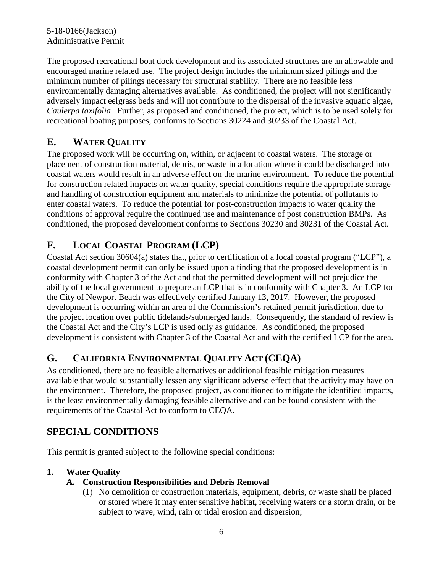The proposed recreational boat dock development and its associated structures are an allowable and encouraged marine related use. The project design includes the minimum sized pilings and the minimum number of pilings necessary for structural stability. There are no feasible less environmentally damaging alternatives available. As conditioned, the project will not significantly adversely impact eelgrass beds and will not contribute to the dispersal of the invasive aquatic algae, *Caulerpa taxifolia*. Further, as proposed and conditioned, the project, which is to be used solely for recreational boating purposes, conforms to Sections 30224 and 30233 of the Coastal Act.

# **E. WATER QUALITY**

The proposed work will be occurring on, within, or adjacent to coastal waters. The storage or placement of construction material, debris, or waste in a location where it could be discharged into coastal waters would result in an adverse effect on the marine environment. To reduce the potential for construction related impacts on water quality, special conditions require the appropriate storage and handling of construction equipment and materials to minimize the potential of pollutants to enter coastal waters. To reduce the potential for post-construction impacts to water quality the conditions of approval require the continued use and maintenance of post construction BMPs. As conditioned, the proposed development conforms to Sections 30230 and 30231 of the Coastal Act.

# **F. LOCAL COASTAL PROGRAM (LCP)**

Coastal Act section 30604(a) states that, prior to certification of a local coastal program ("LCP"), a coastal development permit can only be issued upon a finding that the proposed development is in conformity with Chapter 3 of the Act and that the permitted development will not prejudice the ability of the local government to prepare an LCP that is in conformity with Chapter 3. An LCP for the City of Newport Beach was effectively certified January 13, 2017. However, the proposed development is occurring within an area of the Commission's retained permit jurisdiction, due to the project location over public tidelands/submerged lands. Consequently, the standard of review is the Coastal Act and the City's LCP is used only as guidance. As conditioned, the proposed development is consistent with Chapter 3 of the Coastal Act and with the certified LCP for the area.

## **G. CALIFORNIA ENVIRONMENTAL QUALITY ACT (CEQA)**

As conditioned, there are no feasible alternatives or additional feasible mitigation measures available that would substantially lessen any significant adverse effect that the activity may have on the environment. Therefore, the proposed project, as conditioned to mitigate the identified impacts, is the least environmentally damaging feasible alternative and can be found consistent with the requirements of the Coastal Act to conform to CEQA.

# **SPECIAL CONDITIONS**

This permit is granted subject to the following special conditions:

## **1. Water Quality**

## **A. Construction Responsibilities and Debris Removal**

(1) No demolition or construction materials, equipment, debris, or waste shall be placed or stored where it may enter sensitive habitat, receiving waters or a storm drain, or be subject to wave, wind, rain or tidal erosion and dispersion;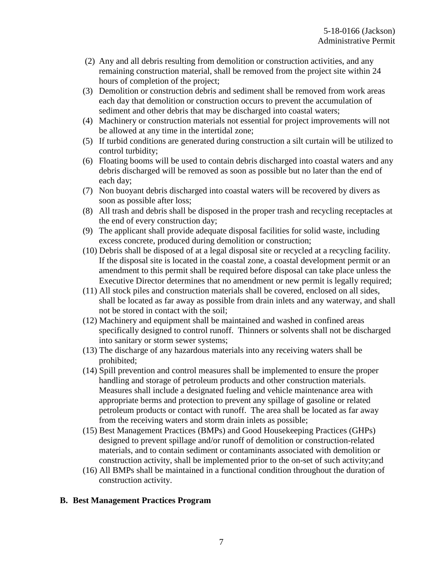- (2) Any and all debris resulting from demolition or construction activities, and any remaining construction material, shall be removed from the project site within 24 hours of completion of the project;
- (3) Demolition or construction debris and sediment shall be removed from work areas each day that demolition or construction occurs to prevent the accumulation of sediment and other debris that may be discharged into coastal waters;
- (4) Machinery or construction materials not essential for project improvements will not be allowed at any time in the intertidal zone;
- (5) If turbid conditions are generated during construction a silt curtain will be utilized to control turbidity;
- (6) Floating booms will be used to contain debris discharged into coastal waters and any debris discharged will be removed as soon as possible but no later than the end of each day;
- (7) Non buoyant debris discharged into coastal waters will be recovered by divers as soon as possible after loss;
- (8) All trash and debris shall be disposed in the proper trash and recycling receptacles at the end of every construction day;
- (9) The applicant shall provide adequate disposal facilities for solid waste, including excess concrete, produced during demolition or construction;
- (10) Debris shall be disposed of at a legal disposal site or recycled at a recycling facility. If the disposal site is located in the coastal zone, a coastal development permit or an amendment to this permit shall be required before disposal can take place unless the Executive Director determines that no amendment or new permit is legally required;
- (11) All stock piles and construction materials shall be covered, enclosed on all sides, shall be located as far away as possible from drain inlets and any waterway, and shall not be stored in contact with the soil;
- (12) Machinery and equipment shall be maintained and washed in confined areas specifically designed to control runoff. Thinners or solvents shall not be discharged into sanitary or storm sewer systems;
- (13) The discharge of any hazardous materials into any receiving waters shall be prohibited;
- (14) Spill prevention and control measures shall be implemented to ensure the proper handling and storage of petroleum products and other construction materials. Measures shall include a designated fueling and vehicle maintenance area with appropriate berms and protection to prevent any spillage of gasoline or related petroleum products or contact with runoff. The area shall be located as far away from the receiving waters and storm drain inlets as possible;
- (15) Best Management Practices (BMPs) and Good Housekeeping Practices (GHPs) designed to prevent spillage and/or runoff of demolition or construction-related materials, and to contain sediment or contaminants associated with demolition or construction activity, shall be implemented prior to the on-set of such activity;and
- (16) All BMPs shall be maintained in a functional condition throughout the duration of construction activity.

### **B. Best Management Practices Program**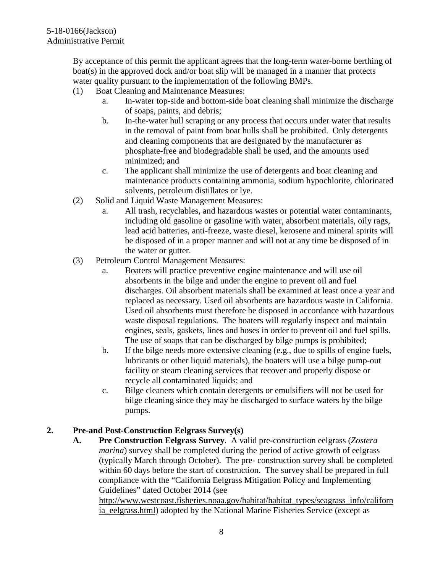By acceptance of this permit the applicant agrees that the long-term water-borne berthing of boat(s) in the approved dock and/or boat slip will be managed in a manner that protects water quality pursuant to the implementation of the following BMPs.

- (1) Boat Cleaning and Maintenance Measures:
	- a. In-water top-side and bottom-side boat cleaning shall minimize the discharge of soaps, paints, and debris;
	- b. In-the-water hull scraping or any process that occurs under water that results in the removal of paint from boat hulls shall be prohibited. Only detergents and cleaning components that are designated by the manufacturer as phosphate-free and biodegradable shall be used, and the amounts used minimized; and
	- c. The applicant shall minimize the use of detergents and boat cleaning and maintenance products containing ammonia, sodium hypochlorite, chlorinated solvents, petroleum distillates or lye.
- (2) Solid and Liquid Waste Management Measures:
	- a. All trash, recyclables, and hazardous wastes or potential water contaminants, including old gasoline or gasoline with water, absorbent materials, oily rags, lead acid batteries, anti-freeze, waste diesel, kerosene and mineral spirits will be disposed of in a proper manner and will not at any time be disposed of in the water or gutter.
- (3) Petroleum Control Management Measures:
	- a. Boaters will practice preventive engine maintenance and will use oil absorbents in the bilge and under the engine to prevent oil and fuel discharges. Oil absorbent materials shall be examined at least once a year and replaced as necessary. Used oil absorbents are hazardous waste in California. Used oil absorbents must therefore be disposed in accordance with hazardous waste disposal regulations. The boaters will regularly inspect and maintain engines, seals, gaskets, lines and hoses in order to prevent oil and fuel spills. The use of soaps that can be discharged by bilge pumps is prohibited;
	- b. If the bilge needs more extensive cleaning (e.g., due to spills of engine fuels, lubricants or other liquid materials), the boaters will use a bilge pump-out facility or steam cleaning services that recover and properly dispose or recycle all contaminated liquids; and
	- c. Bilge cleaners which contain detergents or emulsifiers will not be used for bilge cleaning since they may be discharged to surface waters by the bilge pumps.

### **2. Pre-and Post-Construction Eelgrass Survey(s)**

**A. Pre Construction Eelgrass Survey**. A valid pre-construction eelgrass (*Zostera marina*) survey shall be completed during the period of active growth of eelgrass (typically March through October). The pre- construction survey shall be completed within 60 days before the start of construction. The survey shall be prepared in full compliance with the "California Eelgrass Mitigation Policy and Implementing Guidelines" dated October 2014 (see

[http://www.westcoast.fisheries.noaa.gov/habitat/habitat\\_types/seagrass\\_info/californ](http://www.westcoast.fisheries.noaa.gov/habitat/habitat_types/seagrass_info/california_eelgrass.html) [ia\\_eelgrass.html\)](http://www.westcoast.fisheries.noaa.gov/habitat/habitat_types/seagrass_info/california_eelgrass.html) adopted by the National Marine Fisheries Service (except as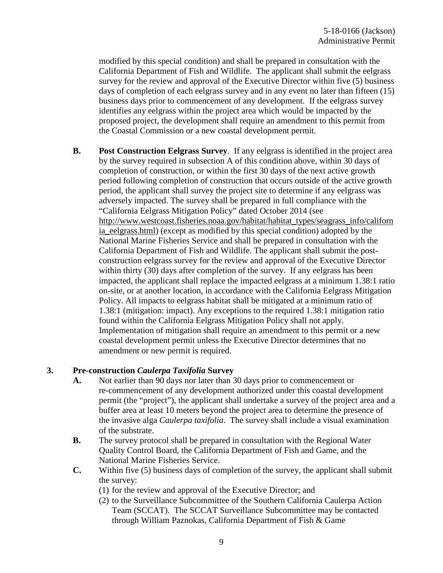modified by this special condition) and shall be prepared in consultation with the California Department of Fish and Wildlife. The applicant shall submit the eelgrass survey for the review and approval of the Executive Director within five (5) business days of completion of each eelgrass survey and in any event no later than fifteen (15) business days prior to commencement of any development. If the eelgrass survey identifies any eelgrass within the project area which would be impacted by the proposed project, the development shall require an amendment to this permit from the Coastal Commission or a new coastal development permit.

**B. Post Construction Eelgrass Survey**. If any eelgrass is identified in the project area by the survey required in subsection A of this condition above, within 30 days of completion of construction, or within the first 30 days of the next active growth period following completion of construction that occurs outside of the active growth period, the applicant shall survey the project site to determine if any eelgrass was adversely impacted. The survey shall be prepared in full compliance with the "California Eelgrass Mitigation Policy" dated October 2014 (see [http://www.westcoast.fisheries.noaa.gov/habitat/habitat\\_types/seagrass\\_info/californ](http://www.westcoast.fisheries.noaa.gov/habitat/habitat_types/seagrass_info/california_eelgrass.html) [ia\\_eelgrass.html\)](http://www.westcoast.fisheries.noaa.gov/habitat/habitat_types/seagrass_info/california_eelgrass.html) (except as modified by this special condition) adopted by the National Marine Fisheries Service and shall be prepared in consultation with the California Department of Fish and Wildlife. The applicant shall submit the postconstruction eelgrass survey for the review and approval of the Executive Director within thirty (30) days after completion of the survey. If any eelgrass has been impacted, the applicant shall replace the impacted eelgrass at a minimum 1.38:1 ratio on-site, or at another location, in accordance with the California Eelgrass Mitigation Policy. All impacts to eelgrass habitat shall be mitigated at a minimum ratio of 1.38:1 (mitigation: impact). Any exceptions to the required 1.38:1 mitigation ratio found within the California Eelgrass Mitigation Policy shall not apply. Implementation of mitigation shall require an amendment to this permit or a new coastal development permit unless the Executive Director determines that no amendment or new permit is required.

#### **3. Pre-construction** *Caulerpa Taxifolia* **Survey**

- **A.** Not earlier than 90 days nor later than 30 days prior to commencement or re-commencement of any development authorized under this coastal development permit (the "project"), the applicant shall undertake a survey of the project area and a buffer area at least 10 meters beyond the project area to determine the presence of the invasive alga *Caulerpa taxifolia*. The survey shall include a visual examination of the substrate.
- **B.** The survey protocol shall be prepared in consultation with the Regional Water Quality Control Board, the California Department of Fish and Game, and the National Marine Fisheries Service.
- **C.** Within five (5) business days of completion of the survey, the applicant shall submit the survey:
	- (1) for the review and approval of the Executive Director; and
	- (2) to the Surveillance Subcommittee of the Southern California Caulerpa Action Team (SCCAT). The SCCAT Surveillance Subcommittee may be contacted through William Paznokas, California Department of Fish & Game